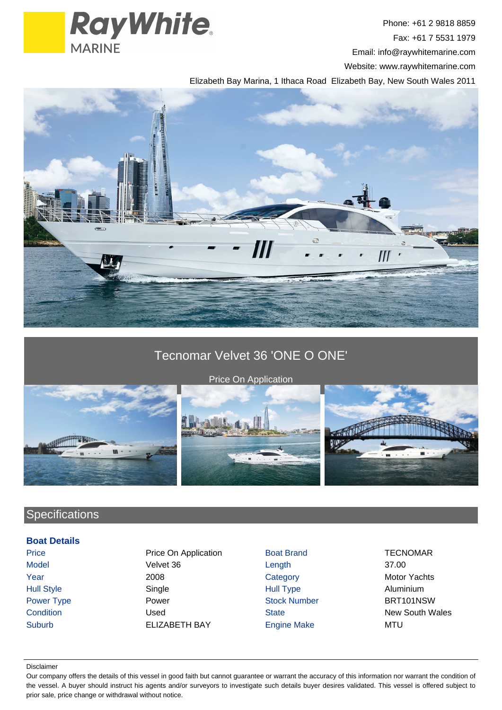

Phone: +61 2 9818 8859 Fax: +61 7 5531 1979 Email: info@raywhitemarine.com Website: www.raywhitemarine.com

Elizabeth Bay Marina, 1 Ithaca Road Elizabeth Bay, New South Wales 2011



## Tecnomar Velvet 36 'ONE O ONE'



Price On Application



# **Specifications**

### **Boat Details**

Price **Price On Application** Boat Brand TECNOMAR Model Velvet 36 Length 37.00 **Year** 2008 2008 Category Category Motor Yachts Hull Style Single Hull Type Aluminium Power Type **Power Power Stock Number** BRT101NSW **Condition** Condition **Condition** Used State State New South Wales Suburb **ELIZABETH BAY** Engine Make MTU

#### Disclaimer

Our company offers the details of this vessel in good faith but cannot guarantee or warrant the accuracy of this information nor warrant the condition of the vessel. A buyer should instruct his agents and/or surveyors to investigate such details buyer desires validated. This vessel is offered subject to prior sale, price change or withdrawal without notice.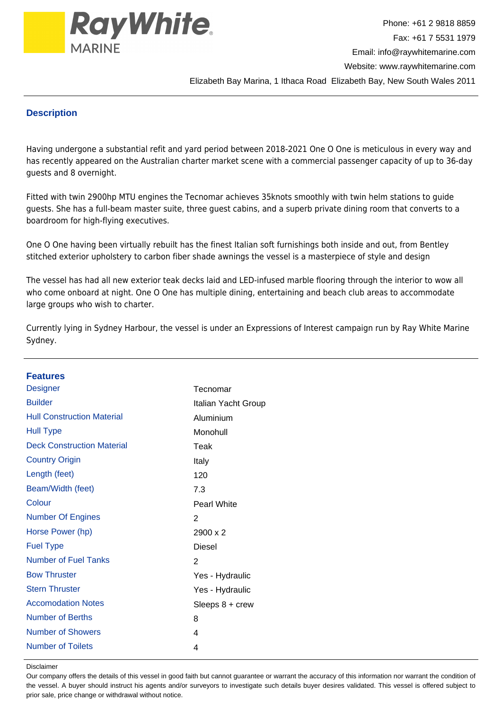

### **Description**

Having undergone a substantial refit and yard period between 2018-2021 One O One is meticulous in every way and has recently appeared on the Australian charter market scene with a commercial passenger capacity of up to 36-day guests and 8 overnight.

Fitted with twin 2900hp MTU engines the Tecnomar achieves 35knots smoothly with twin helm stations to guide guests. She has a full-beam master suite, three guest cabins, and a superb private dining room that converts to a boardroom for high-flying executives.

One O One having been virtually rebuilt has the finest Italian soft furnishings both inside and out, from Bentley stitched exterior upholstery to carbon fiber shade awnings the vessel is a masterpiece of style and design

The vessel has had all new exterior teak decks laid and LED-infused marble flooring through the interior to wow all who come onboard at night. One O One has multiple dining, entertaining and beach club areas to accommodate large groups who wish to charter.

Currently lying in Sydney Harbour, the vessel is under an Expressions of Interest campaign run by Ray White Marine Sydney.

| <b>Features</b>                   |                     |
|-----------------------------------|---------------------|
| <b>Designer</b>                   | Tecnomar            |
| <b>Builder</b>                    | Italian Yacht Group |
| <b>Hull Construction Material</b> | Aluminium           |
| <b>Hull Type</b>                  | Monohull            |
| <b>Deck Construction Material</b> | Teak                |
| <b>Country Origin</b>             | Italy               |
| Length (feet)                     | 120                 |
| Beam/Width (feet)                 | 7.3                 |
| Colour                            | Pearl White         |
| <b>Number Of Engines</b>          | 2                   |
| Horse Power (hp)                  | 2900 x 2            |
| <b>Fuel Type</b>                  | <b>Diesel</b>       |
| <b>Number of Fuel Tanks</b>       | $\overline{2}$      |
| <b>Bow Thruster</b>               | Yes - Hydraulic     |
| <b>Stern Thruster</b>             | Yes - Hydraulic     |
| <b>Accomodation Notes</b>         | Sleeps $8 + c$ rew  |
| <b>Number of Berths</b>           | 8                   |
| <b>Number of Showers</b>          | 4                   |
| <b>Number of Toilets</b>          | 4                   |

#### Disclaimer

Our company offers the details of this vessel in good faith but cannot guarantee or warrant the accuracy of this information nor warrant the condition of the vessel. A buyer should instruct his agents and/or surveyors to investigate such details buyer desires validated. This vessel is offered subject to prior sale, price change or withdrawal without notice.